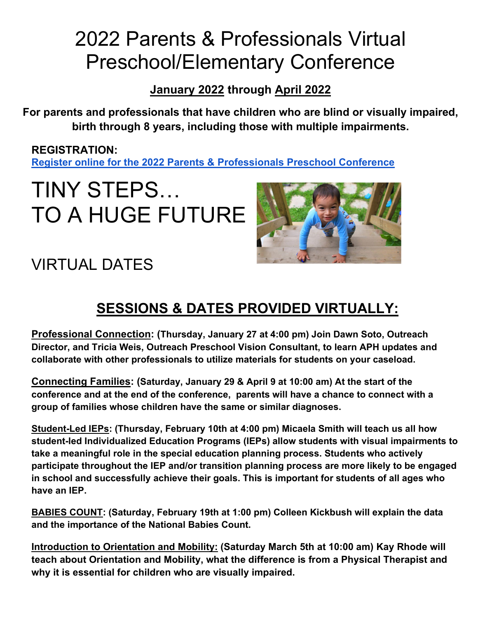### 2022 Parents & Professionals Virtual Preschool/Elementary Conference

**January 2022 through April 2022**

**For parents and professionals that have children who are blind or visually impaired, birth through 8 years, including those with multiple impairments.**

**REGISTRATION: [Register online for the 2022 Parents & Professionals Preschool Conference](https://forms.office.com/r/6FwWR046xh)**

## TINY STEPS… TO A HUGE FUTURE



#### VIRTUAL DATES

#### **SESSIONS & DATES PROVIDED VIRTUALLY:**

**Professional Connection: (Thursday, January 27 at 4:00 pm) Join Dawn Soto, Outreach Director, and Tricia Weis, Outreach Preschool Vision Consultant, to learn APH updates and collaborate with other professionals to utilize materials for students on your caseload.** 

**Connecting Families: (Saturday, January 29 & April 9 at 10:00 am) At the start of the conference and at the end of the conference, parents will have a chance to connect with a group of families whose children have the same or similar diagnoses.** 

**Student-Led IEPs: (Thursday, February 10th at 4:00 pm) Micaela Smith will teach us all how student-led Individualized Education Programs (IEPs) allow students with visual impairments to take a meaningful role in the special education planning process. Students who actively participate throughout the IEP and/or transition planning process are more likely to be engaged in school and successfully achieve their goals. This is important for students of all ages who have an IEP.** 

**BABIES COUNT: (Saturday, February 19th at 1:00 pm) Colleen Kickbush will explain the data and the importance of the National Babies Count.** 

**Introduction to Orientation and Mobility: (Saturday March 5th at 10:00 am) Kay Rhode will teach about Orientation and Mobility, what the difference is from a Physical Therapist and why it is essential for children who are visually impaired.**